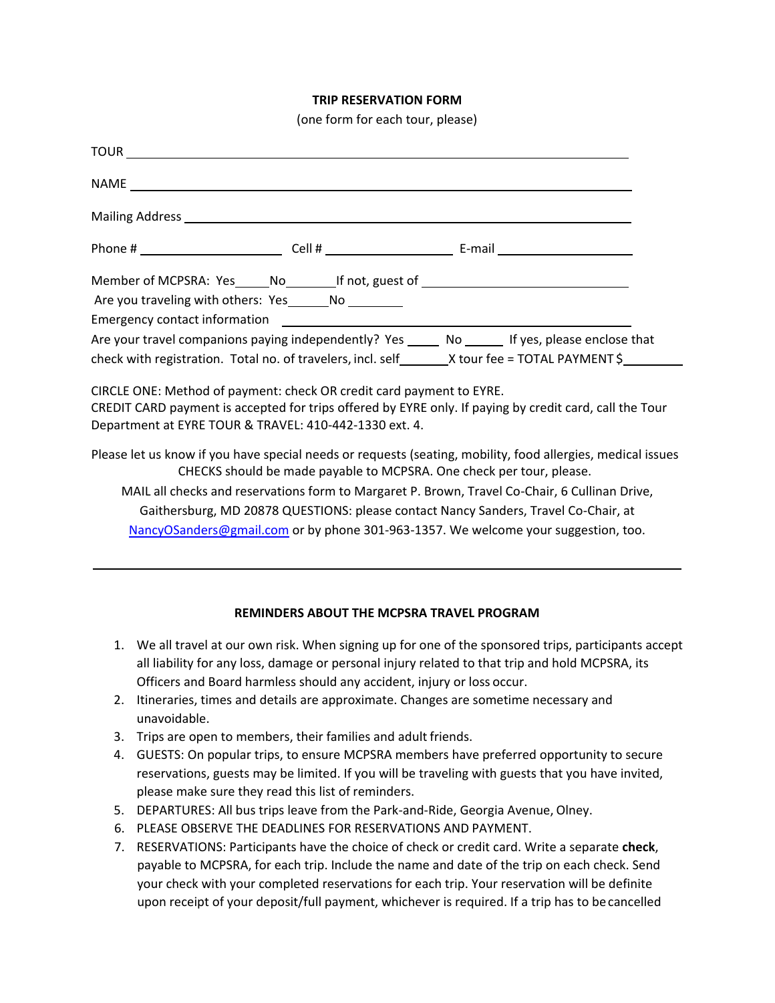## **TRIP RESERVATION FORM**

(one form for each tour, please)

| Member of MCPSRA: Yes_____No_________If not, guest of __________________________                                               |                                                                      |                                                                                                             |
|--------------------------------------------------------------------------------------------------------------------------------|----------------------------------------------------------------------|-------------------------------------------------------------------------------------------------------------|
|                                                                                                                                |                                                                      |                                                                                                             |
|                                                                                                                                |                                                                      |                                                                                                             |
|                                                                                                                                |                                                                      | Are your travel companions paying independently? Yes ______ No ______ If yes, please enclose that           |
|                                                                                                                                |                                                                      | check with registration. Total no. of travelers, incl. self _________X tour fee = TOTAL PAYMENT \$          |
| CIRCLE ONE: Method of payment: check OR credit card payment to EYRE.<br>Department at EYRE TOUR & TRAVEL: 410-442-1330 ext. 4. |                                                                      | CREDIT CARD payment is accepted for trips offered by EYRE only. If paying by credit card, call the Tour     |
|                                                                                                                                | CHECKS should be made payable to MCPSRA. One check per tour, please. | Please let us know if you have special needs or requests (seating, mobility, food allergies, medical issues |
|                                                                                                                                |                                                                      | MAIL all checks and reservations form to Margaret P. Brown, Travel Co-Chair, 6 Cullinan Drive,              |
|                                                                                                                                |                                                                      | Gaithersburg, MD 20878 QUESTIONS: please contact Nancy Sanders, Travel Co-Chair, at                         |
|                                                                                                                                |                                                                      | NancyOSanders@gmail.com or by phone 301-963-1357. We welcome your suggestion, too.                          |
|                                                                                                                                |                                                                      |                                                                                                             |

## **REMINDERS ABOUT THE MCPSRA TRAVEL PROGRAM**

- 1. We all travel at our own risk. When signing up for one of the sponsored trips, participants accept all liability for any loss, damage or personal injury related to that trip and hold MCPSRA, its Officers and Board harmless should any accident, injury or loss occur.
- 2. Itineraries, times and details are approximate. Changes are sometime necessary and unavoidable.
- 3. Trips are open to members, their families and adult friends.
- 4. GUESTS: On popular trips, to ensure MCPSRA members have preferred opportunity to secure reservations, guests may be limited. If you will be traveling with guests that you have invited, please make sure they read this list of reminders.
- 5. DEPARTURES: All bus trips leave from the Park-and-Ride, Georgia Avenue, Olney.
- 6. PLEASE OBSERVE THE DEADLINES FOR RESERVATIONS AND PAYMENT.
- 7. RESERVATIONS: Participants have the choice of check or credit card. Write a separate **check**, payable to MCPSRA, for each trip. Include the name and date of the trip on each check. Send your check with your completed reservations for each trip. Your reservation will be definite upon receipt of your deposit/full payment, whichever is required. If a trip has to becancelled